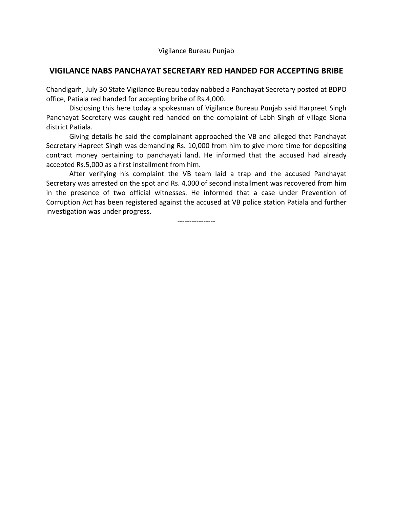Vigilance Bureau Punjab

## **VIGILANCE NABS PANCHAYAT SECRETARY RED HANDED FOR ACCEPTING BRIBE**

Chandigarh, July 30 State Vigilance Bureau today nabbed a Panchayat Secretary posted at BDPO office, Patiala red handed for accepting bribe of Rs.4,000.

 Disclosing this here today a spokesman of Vigilance Bureau Punjab said Harpreet Singh Panchayat Secretary was caught red handed on the complaint of Labh Singh of village Siona district Patiala.

 Giving details he said the complainant approached the VB and alleged that Panchayat Secretary Hapreet Singh was demanding Rs. 10,000 from him to give more time for depositing contract money pertaining to panchayati land. He informed that the accused had already accepted Rs.5,000 as a first installment from him.

 After verifying his complaint the VB team laid a trap and the accused Panchayat Secretary was arrested on the spot and Rs. 4,000 of second installment was recovered from him in the presence of two official witnesses. He informed that a case under Prevention of Corruption Act has been registered against the accused at VB police station Patiala and further investigation was under progress.

----------------